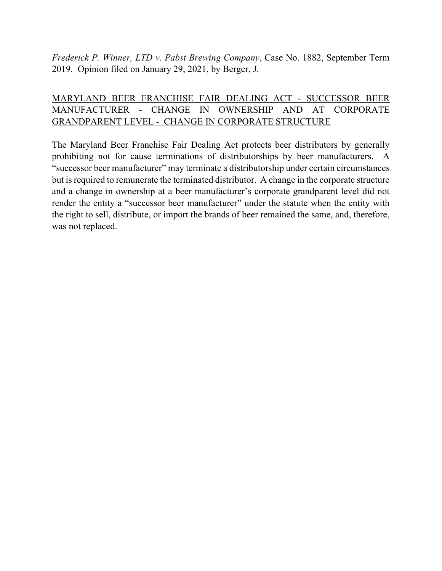*Frederick P. Winner, LTD v. Pabst Brewing Company*, Case No. 1882, September Term 2019*.* Opinion filed on January 29, 2021, by Berger, J.

# MARYLAND BEER FRANCHISE FAIR DEALING ACT - SUCCESSOR BEER MANUFACTURER - CHANGE IN OWNERSHIP AND AT CORPORATE GRANDPARENT LEVEL - CHANGE IN CORPORATE STRUCTURE

The Maryland Beer Franchise Fair Dealing Act protects beer distributors by generally prohibiting not for cause terminations of distributorships by beer manufacturers. A "successor beer manufacturer" may terminate a distributorship under certain circumstances but is required to remunerate the terminated distributor. A change in the corporate structure and a change in ownership at a beer manufacturer's corporate grandparent level did not render the entity a "successor beer manufacturer" under the statute when the entity with the right to sell, distribute, or import the brands of beer remained the same, and, therefore, was not replaced.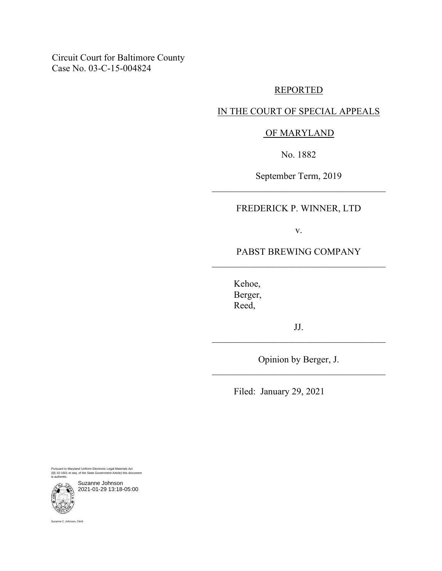Circuit Court for Baltimore County Case No. 03-C-15-004824

### REPORTED

## IN THE COURT OF SPECIAL APPEALS

# OF MARYLAND

No. 1882

September Term, 2019  $\mathcal{L}_\text{max}$  and  $\mathcal{L}_\text{max}$  and  $\mathcal{L}_\text{max}$  and  $\mathcal{L}_\text{max}$ 

## FREDERICK P. WINNER, LTD

v.

## PABST BREWING COMPANY  $\mathcal{L}_\text{max}$  and  $\mathcal{L}_\text{max}$  and  $\mathcal{L}_\text{max}$  and  $\mathcal{L}_\text{max}$

Kehoe, Berger, Reed,

JJ.  $\mathcal{L}_\text{max}$  and  $\mathcal{L}_\text{max}$  and  $\mathcal{L}_\text{max}$  and  $\mathcal{L}_\text{max}$ 

Opinion by Berger, J. \_\_\_\_\_\_\_\_\_\_\_\_\_\_\_\_\_\_\_\_\_\_\_\_\_\_\_\_\_\_\_\_\_\_\_\_\_

Filed: January 29, 2021

Pursuant to Maryland Uniform Electronic Legal Materials Act (§§ 10-1601 et seq. of the State Government Article) this document is authentic.

Suzanne Johnson 2021-01-29 13:18-05:00



Suzanne C. Johnson, Clerk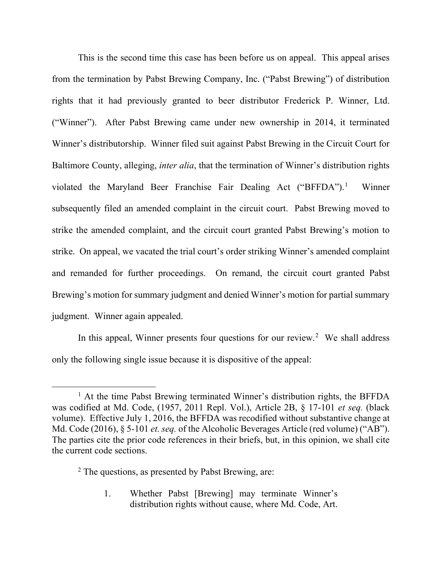This is the second time this case has been before us on appeal. This appeal arises from the termination by Pabst Brewing Company, Inc. ("Pabst Brewing") of distribution rights that it had previously granted to beer distributor Frederick P. Winner, Ltd. ("Winner"). After Pabst Brewing came under new ownership in 2014, it terminated Winner's distributorship. Winner filed suit against Pabst Brewing in the Circuit Court for Baltimore County, alleging, *inter alia*, that the termination of Winner's distribution rights violated the Maryland Beer Franchise Fair Dealing Act ("BFFDA").<sup>[1](#page-2-0)</sup> Winner subsequently filed an amended complaint in the circuit court. Pabst Brewing moved to strike the amended complaint, and the circuit court granted Pabst Brewing's motion to strike. On appeal, we vacated the trial court's order striking Winner's amended complaint and remanded for further proceedings. On remand, the circuit court granted Pabst Brewing's motion for summary judgment and denied Winner's motion for partial summary judgment. Winner again appealed.

In this appeal, Winner presents four questions for our review.<sup>[2](#page-2-1)</sup> We shall address only the following single issue because it is dispositive of the appeal:

1. Whether Pabst [Brewing] may terminate Winner's distribution rights without cause, where Md. Code, Art.

<span id="page-2-0"></span><sup>&</sup>lt;sup>1</sup> At the time Pabst Brewing terminated Winner's distribution rights, the BFFDA was codified at Md. Code, (1957, 2011 Repl. Vol.), Article 2B, § 17-101 *et seq.* (black volume). Effective July 1, 2016, the BFFDA was recodified without substantive change at Md. Code (2016), § 5-101 *et. seq.* of the Alcoholic Beverages Article (red volume) ("AB"). The parties cite the prior code references in their briefs, but, in this opinion, we shall cite the current code sections.

<span id="page-2-1"></span><sup>2</sup> The questions, as presented by Pabst Brewing, are: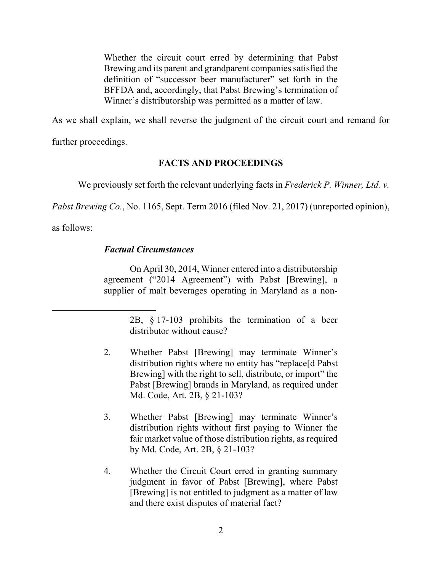Whether the circuit court erred by determining that Pabst Brewing and its parent and grandparent companies satisfied the definition of "successor beer manufacturer" set forth in the BFFDA and, accordingly, that Pabst Brewing's termination of Winner's distributorship was permitted as a matter of law.

As we shall explain, we shall reverse the judgment of the circuit court and remand for further proceedings.

# **FACTS AND PROCEEDINGS**

We previously set forth the relevant underlying facts in *Frederick P. Winner, Ltd. v.* 

*Pabst Brewing Co.*, No. 1165, Sept. Term 2016 (filed Nov. 21, 2017) (unreported opinion),

as follows:

## *Factual Circumstances*

On April 30, 2014, Winner entered into a distributorship agreement ("2014 Agreement") with Pabst [Brewing], a supplier of malt beverages operating in Maryland as a non-

- 2. Whether Pabst [Brewing] may terminate Winner's distribution rights where no entity has "replace[d Pabst Brewing] with the right to sell, distribute, or import" the Pabst [Brewing] brands in Maryland, as required under Md. Code, Art. 2B, § 21-103?
- 3. Whether Pabst [Brewing] may terminate Winner's distribution rights without first paying to Winner the fair market value of those distribution rights, as required by Md. Code, Art. 2B, § 21-103?
- 4. Whether the Circuit Court erred in granting summary judgment in favor of Pabst [Brewing], where Pabst [Brewing] is not entitled to judgment as a matter of law and there exist disputes of material fact?

<sup>2</sup>B, § 17-103 prohibits the termination of a beer distributor without cause?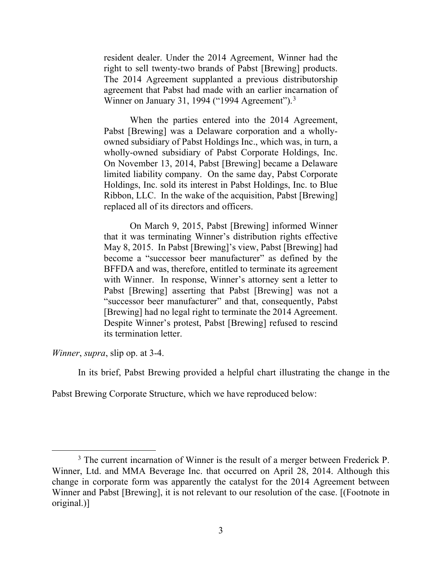resident dealer. Under the 2014 Agreement, Winner had the right to sell twenty-two brands of Pabst [Brewing] products. The 2014 Agreement supplanted a previous distributorship agreement that Pabst had made with an earlier incarnation of Winner on January [3](#page-4-0)1, 1994 ("1994 Agreement").<sup>3</sup>

When the parties entered into the 2014 Agreement, Pabst [Brewing] was a Delaware corporation and a whollyowned subsidiary of Pabst Holdings Inc., which was, in turn, a wholly-owned subsidiary of Pabst Corporate Holdings, Inc. On November 13, 2014, Pabst [Brewing] became a Delaware limited liability company. On the same day, Pabst Corporate Holdings, Inc. sold its interest in Pabst Holdings, Inc. to Blue Ribbon, LLC. In the wake of the acquisition, Pabst [Brewing] replaced all of its directors and officers.

On March 9, 2015, Pabst [Brewing] informed Winner that it was terminating Winner's distribution rights effective May 8, 2015. In Pabst [Brewing]'s view, Pabst [Brewing] had become a "successor beer manufacturer" as defined by the BFFDA and was, therefore, entitled to terminate its agreement with Winner. In response, Winner's attorney sent a letter to Pabst [Brewing] asserting that Pabst [Brewing] was not a "successor beer manufacturer" and that, consequently, Pabst [Brewing] had no legal right to terminate the 2014 Agreement. Despite Winner's protest, Pabst [Brewing] refused to rescind its termination letter.

*Winner*, *supra*, slip op. at 3-4.

In its brief, Pabst Brewing provided a helpful chart illustrating the change in the

Pabst Brewing Corporate Structure, which we have reproduced below:

<span id="page-4-0"></span><sup>&</sup>lt;sup>3</sup> The current incarnation of Winner is the result of a merger between Frederick P. Winner, Ltd. and MMA Beverage Inc. that occurred on April 28, 2014. Although this change in corporate form was apparently the catalyst for the 2014 Agreement between Winner and Pabst [Brewing], it is not relevant to our resolution of the case. [(Footnote in original.)]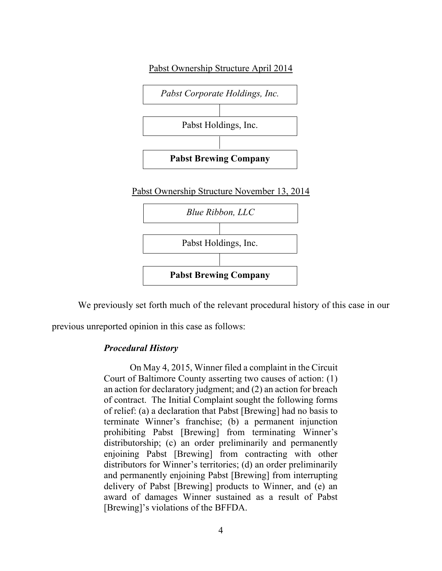

We previously set forth much of the relevant procedural history of this case in our

previous unreported opinion in this case as follows:

#### *Procedural History*

On May 4, 2015, Winner filed a complaint in the Circuit Court of Baltimore County asserting two causes of action: (1) an action for declaratory judgment; and (2) an action for breach of contract. The Initial Complaint sought the following forms of relief: (a) a declaration that Pabst [Brewing] had no basis to terminate Winner's franchise; (b) a permanent injunction prohibiting Pabst [Brewing] from terminating Winner's distributorship; (c) an order preliminarily and permanently enjoining Pabst [Brewing] from contracting with other distributors for Winner's territories; (d) an order preliminarily and permanently enjoining Pabst [Brewing] from interrupting delivery of Pabst [Brewing] products to Winner, and (e) an award of damages Winner sustained as a result of Pabst [Brewing]'s violations of the BFFDA.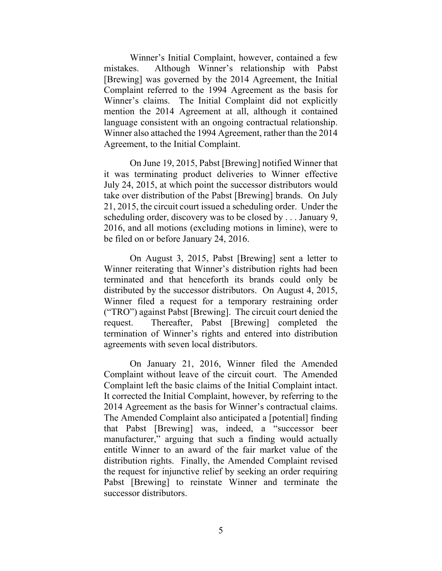Winner's Initial Complaint, however, contained a few mistakes. Although Winner's relationship with Pabst [Brewing] was governed by the 2014 Agreement, the Initial Complaint referred to the 1994 Agreement as the basis for Winner's claims. The Initial Complaint did not explicitly mention the 2014 Agreement at all, although it contained language consistent with an ongoing contractual relationship. Winner also attached the 1994 Agreement, rather than the 2014 Agreement, to the Initial Complaint.

On June 19, 2015, Pabst [Brewing] notified Winner that it was terminating product deliveries to Winner effective July 24, 2015, at which point the successor distributors would take over distribution of the Pabst [Brewing] brands. On July 21, 2015, the circuit court issued a scheduling order. Under the scheduling order, discovery was to be closed by . . . January 9, 2016, and all motions (excluding motions in limine), were to be filed on or before January 24, 2016.

On August 3, 2015, Pabst [Brewing] sent a letter to Winner reiterating that Winner's distribution rights had been terminated and that henceforth its brands could only be distributed by the successor distributors. On August 4, 2015, Winner filed a request for a temporary restraining order ("TRO") against Pabst [Brewing]. The circuit court denied the request. Thereafter, Pabst [Brewing] completed the termination of Winner's rights and entered into distribution agreements with seven local distributors.

On January 21, 2016, Winner filed the Amended Complaint without leave of the circuit court. The Amended Complaint left the basic claims of the Initial Complaint intact. It corrected the Initial Complaint, however, by referring to the 2014 Agreement as the basis for Winner's contractual claims. The Amended Complaint also anticipated a [potential] finding that Pabst [Brewing] was, indeed, a "successor beer manufacturer," arguing that such a finding would actually entitle Winner to an award of the fair market value of the distribution rights. Finally, the Amended Complaint revised the request for injunctive relief by seeking an order requiring Pabst [Brewing] to reinstate Winner and terminate the successor distributors.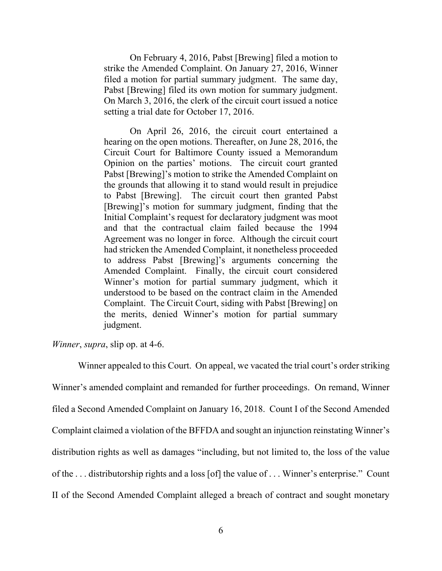On February 4, 2016, Pabst [Brewing] filed a motion to strike the Amended Complaint. On January 27, 2016, Winner filed a motion for partial summary judgment. The same day, Pabst [Brewing] filed its own motion for summary judgment. On March 3, 2016, the clerk of the circuit court issued a notice setting a trial date for October 17, 2016.

On April 26, 2016, the circuit court entertained a hearing on the open motions. Thereafter, on June 28, 2016, the Circuit Court for Baltimore County issued a Memorandum Opinion on the parties' motions. The circuit court granted Pabst [Brewing]'s motion to strike the Amended Complaint on the grounds that allowing it to stand would result in prejudice to Pabst [Brewing]. The circuit court then granted Pabst [Brewing]'s motion for summary judgment, finding that the Initial Complaint's request for declaratory judgment was moot and that the contractual claim failed because the 1994 Agreement was no longer in force. Although the circuit court had stricken the Amended Complaint, it nonetheless proceeded to address Pabst [Brewing]'s arguments concerning the Amended Complaint. Finally, the circuit court considered Winner's motion for partial summary judgment, which it understood to be based on the contract claim in the Amended Complaint. The Circuit Court, siding with Pabst [Brewing] on the merits, denied Winner's motion for partial summary judgment.

*Winner*, *supra*, slip op. at 4-6.

Winner appealed to this Court. On appeal, we vacated the trial court's order striking Winner's amended complaint and remanded for further proceedings. On remand, Winner filed a Second Amended Complaint on January 16, 2018. Count I of the Second Amended Complaint claimed a violation of the BFFDA and sought an injunction reinstating Winner's distribution rights as well as damages "including, but not limited to, the loss of the value of the . . . distributorship rights and a loss [of] the value of . . . Winner's enterprise." Count II of the Second Amended Complaint alleged a breach of contract and sought monetary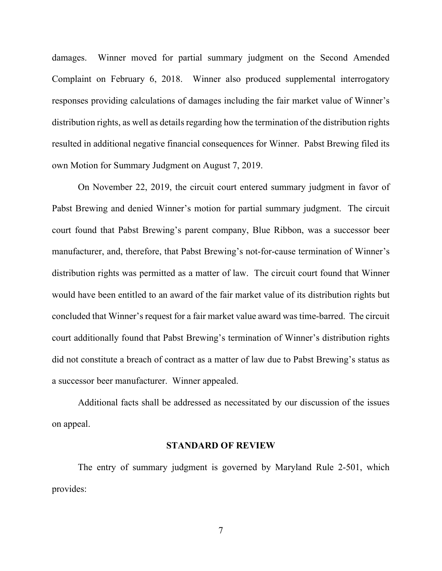damages. Winner moved for partial summary judgment on the Second Amended Complaint on February 6, 2018. Winner also produced supplemental interrogatory responses providing calculations of damages including the fair market value of Winner's distribution rights, as well as details regarding how the termination of the distribution rights resulted in additional negative financial consequences for Winner. Pabst Brewing filed its own Motion for Summary Judgment on August 7, 2019.

On November 22, 2019, the circuit court entered summary judgment in favor of Pabst Brewing and denied Winner's motion for partial summary judgment. The circuit court found that Pabst Brewing's parent company, Blue Ribbon, was a successor beer manufacturer, and, therefore, that Pabst Brewing's not-for-cause termination of Winner's distribution rights was permitted as a matter of law. The circuit court found that Winner would have been entitled to an award of the fair market value of its distribution rights but concluded that Winner's request for a fair market value award was time-barred. The circuit court additionally found that Pabst Brewing's termination of Winner's distribution rights did not constitute a breach of contract as a matter of law due to Pabst Brewing's status as a successor beer manufacturer. Winner appealed.

Additional facts shall be addressed as necessitated by our discussion of the issues on appeal.

#### **STANDARD OF REVIEW**

The entry of summary judgment is governed by Maryland Rule 2-501, which provides: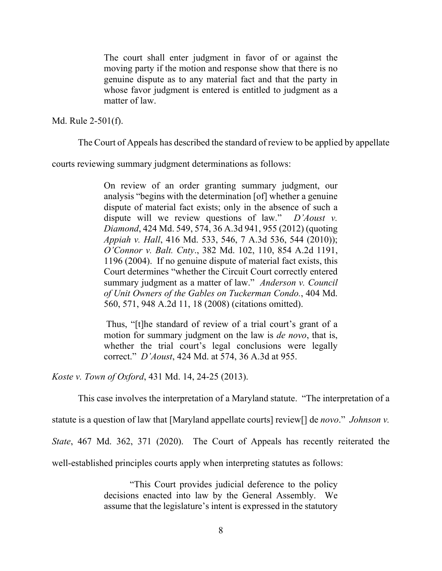The court shall enter judgment in favor of or against the moving party if the motion and response show that there is no genuine dispute as to any material fact and that the party in whose favor judgment is entered is entitled to judgment as a matter of law.

Md. Rule 2-501(f).

The Court of Appeals has described the standard of review to be applied by appellate

courts reviewing summary judgment determinations as follows:

On review of an order granting summary judgment, our analysis "begins with the determination [of] whether a genuine dispute of material fact exists; only in the absence of such a dispute will we review questions of law." *D'Aoust v. Diamond*, 424 Md. 549, 574, 36 A.3d 941, 955 (2012) (quoting *Appiah v. Hall*, 416 Md. 533, 546, 7 A.3d 536, 544 (2010)); *O'Connor v. Balt. Cnty*., 382 Md. 102, 110, 854 A.2d 1191, 1196 (2004). If no genuine dispute of material fact exists, this Court determines "whether the Circuit Court correctly entered summary judgment as a matter of law." *Anderson v. Council of Unit Owners of the Gables on Tuckerman Condo.*, 404 Md. 560, 571, 948 A.2d 11, 18 (2008) (citations omitted).

Thus, "[t]he standard of review of a trial court's grant of a motion for summary judgment on the law is *de novo*, that is, whether the trial court's legal conclusions were legally correct." *D'Aoust*, 424 Md. at 574, 36 A.3d at 955.

*Koste v. Town of Oxford*, 431 Md. 14, 24-25 (2013).

This case involves the interpretation of a Maryland statute. "The interpretation of a

statute is a question of law that [Maryland appellate courts] review[] de *novo*." *Johnson v.* 

*State*, 467 Md. 362, 371 (2020). The Court of Appeals has recently reiterated the

well-established principles courts apply when interpreting statutes as follows:

"This Court provides judicial deference to the policy decisions enacted into law by the General Assembly. We assume that the legislature's intent is expressed in the statutory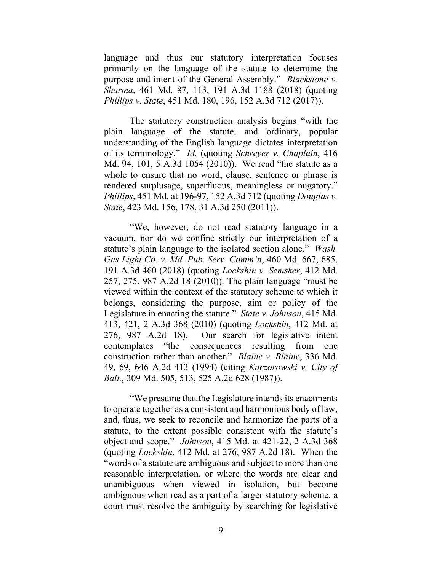language and thus our statutory interpretation focuses primarily on the language of the statute to determine the purpose and intent of the General Assembly." *Blackstone v. Sharma*, 461 Md. 87, 113, 191 A.3d 1188 (2018) (quoting *Phillips v. State*, 451 Md. 180, 196, 152 A.3d 712 (2017)).

The statutory construction analysis begins "with the plain language of the statute, and ordinary, popular understanding of the English language dictates interpretation of its terminology." *Id.* (quoting *Schreyer v. Chaplain*, 416 Md. 94, 101, 5 A.3d 1054 (2010)). We read "the statute as a whole to ensure that no word, clause, sentence or phrase is rendered surplusage, superfluous, meaningless or nugatory." *Phillips*, 451 Md. at 196-97, 152 A.3d 712 (quoting *Douglas v. State*, 423 Md. 156, 178, 31 A.3d 250 (2011)).

"We, however, do not read statutory language in a vacuum, nor do we confine strictly our interpretation of a statute's plain language to the isolated section alone." *Wash. Gas Light Co. v. Md. Pub. Serv. Comm'n*, 460 Md. 667, 685, 191 A.3d 460 (2018) (quoting *Lockshin v. Semsker*, 412 Md. 257, 275, 987 A.2d 18 (2010)). The plain language "must be viewed within the context of the statutory scheme to which it belongs, considering the purpose, aim or policy of the Legislature in enacting the statute." *State v. Johnson*, 415 Md. 413, 421, 2 A.3d 368 (2010) (quoting *Lockshin*, 412 Md. at 276, 987 A.2d 18). Our search for legislative intent contemplates "the consequences resulting from one construction rather than another." *Blaine v. Blaine*, 336 Md. 49, 69, 646 A.2d 413 (1994) (citing *Kaczorowski v. City of Balt.*, 309 Md. 505, 513, 525 A.2d 628 (1987)).

"We presume that the Legislature intends its enactments to operate together as a consistent and harmonious body of law, and, thus, we seek to reconcile and harmonize the parts of a statute, to the extent possible consistent with the statute's object and scope." *Johnson*, 415 Md. at 421-22, 2 A.3d 368 (quoting *Lockshin*, 412 Md. at 276, 987 A.2d 18). When the "words of a statute are ambiguous and subject to more than one reasonable interpretation, or where the words are clear and unambiguous when viewed in isolation, but become ambiguous when read as a part of a larger statutory scheme, a court must resolve the ambiguity by searching for legislative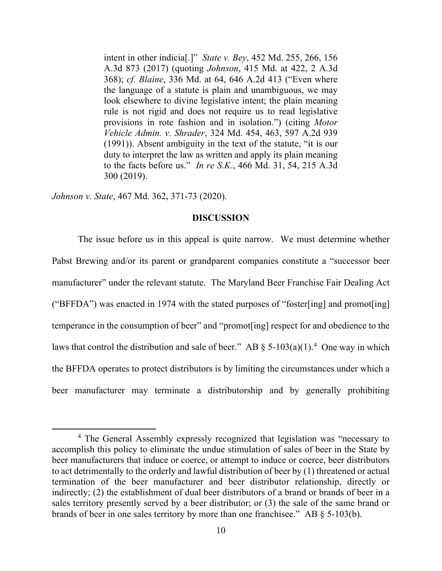intent in other indicia[.]" *State v. Bey*, 452 Md. 255, 266, 156 A.3d 873 (2017) (quoting *Johnson*, 415 Md. at 422, 2 A.3d 368); *cf. Blaine*, 336 Md. at 64, 646 A.2d 413 ("Even where the language of a statute is plain and unambiguous, we may look elsewhere to divine legislative intent; the plain meaning rule is not rigid and does not require us to read legislative provisions in rote fashion and in isolation.") (citing *Motor Vehicle Admin. v. Shrader*, 324 Md. 454, 463, 597 A.2d 939 (1991)). Absent ambiguity in the text of the statute, "it is our duty to interpret the law as written and apply its plain meaning to the facts before us." *In re S.K.*, 466 Md. 31, 54, 215 A.3d 300 (2019).

*Johnson v. State*, 467 Md. 362, 371-73 (2020).

#### **DISCUSSION**

The issue before us in this appeal is quite narrow. We must determine whether Pabst Brewing and/or its parent or grandparent companies constitute a "successor beer manufacturer" under the relevant statute. The Maryland Beer Franchise Fair Dealing Act ("BFFDA") was enacted in 1974 with the stated purposes of "foster[ing] and promot[ing] temperance in the consumption of beer" and "promot[ing] respect for and obedience to the laws that control the distribution and sale of beer." AB  $\S$  5-103(a)(1).<sup>[4](#page-11-0)</sup> One way in which the BFFDA operates to protect distributors is by limiting the circumstances under which a beer manufacturer may terminate a distributorship and by generally prohibiting

<span id="page-11-0"></span><sup>&</sup>lt;sup>4</sup> The General Assembly expressly recognized that legislation was "necessary to accomplish this policy to eliminate the undue stimulation of sales of beer in the State by beer manufacturers that induce or coerce, or attempt to induce or coerce, beer distributors to act detrimentally to the orderly and lawful distribution of beer by (1) threatened or actual termination of the beer manufacturer and beer distributor relationship, directly or indirectly; (2) the establishment of dual beer distributors of a brand or brands of beer in a sales territory presently served by a beer distributor; or (3) the sale of the same brand or brands of beer in one sales territory by more than one franchisee." AB § 5-103(b).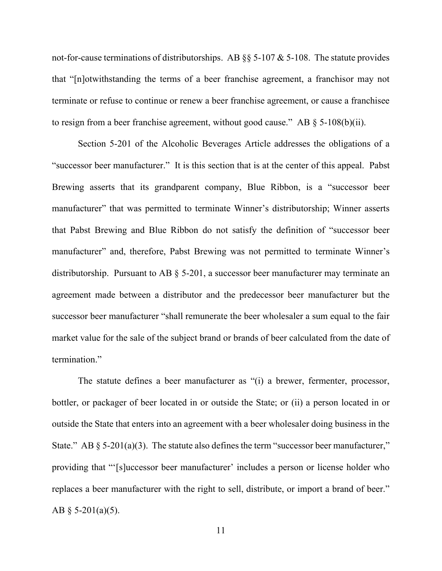not-for-cause terminations of distributorships. AB  $\S$ § 5-107 & 5-108. The statute provides that "[n]otwithstanding the terms of a beer franchise agreement, a franchisor may not terminate or refuse to continue or renew a beer franchise agreement, or cause a franchisee to resign from a beer franchise agreement, without good cause." AB  $\S$  5-108(b)(ii).

Section 5-201 of the Alcoholic Beverages Article addresses the obligations of a "successor beer manufacturer." It is this section that is at the center of this appeal. Pabst Brewing asserts that its grandparent company, Blue Ribbon, is a "successor beer manufacturer" that was permitted to terminate Winner's distributorship; Winner asserts that Pabst Brewing and Blue Ribbon do not satisfy the definition of "successor beer manufacturer" and, therefore, Pabst Brewing was not permitted to terminate Winner's distributorship. Pursuant to AB § 5-201, a successor beer manufacturer may terminate an agreement made between a distributor and the predecessor beer manufacturer but the successor beer manufacturer "shall remunerate the beer wholesaler a sum equal to the fair market value for the sale of the subject brand or brands of beer calculated from the date of termination."

The statute defines a beer manufacturer as "(i) a brewer, fermenter, processor, bottler, or packager of beer located in or outside the State; or (ii) a person located in or outside the State that enters into an agreement with a beer wholesaler doing business in the State." AB  $\S$  5-201(a)(3). The statute also defines the term "successor beer manufacturer," providing that "'[s]uccessor beer manufacturer' includes a person or license holder who replaces a beer manufacturer with the right to sell, distribute, or import a brand of beer." AB  $\S$  5-201(a)(5).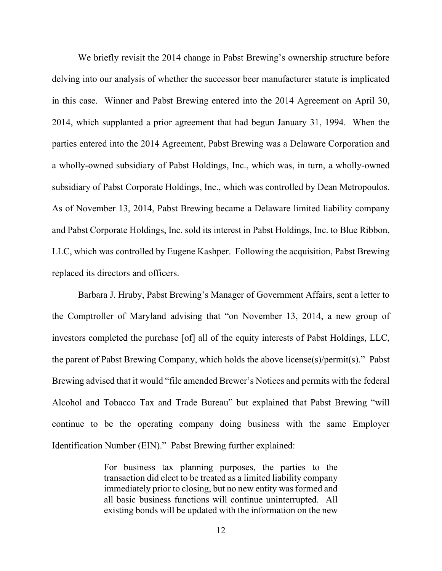We briefly revisit the 2014 change in Pabst Brewing's ownership structure before delving into our analysis of whether the successor beer manufacturer statute is implicated in this case. Winner and Pabst Brewing entered into the 2014 Agreement on April 30, 2014, which supplanted a prior agreement that had begun January 31, 1994. When the parties entered into the 2014 Agreement, Pabst Brewing was a Delaware Corporation and a wholly-owned subsidiary of Pabst Holdings, Inc., which was, in turn, a wholly-owned subsidiary of Pabst Corporate Holdings, Inc., which was controlled by Dean Metropoulos. As of November 13, 2014, Pabst Brewing became a Delaware limited liability company and Pabst Corporate Holdings, Inc. sold its interest in Pabst Holdings, Inc. to Blue Ribbon, LLC, which was controlled by Eugene Kashper. Following the acquisition, Pabst Brewing replaced its directors and officers.

Barbara J. Hruby, Pabst Brewing's Manager of Government Affairs, sent a letter to the Comptroller of Maryland advising that "on November 13, 2014, a new group of investors completed the purchase [of] all of the equity interests of Pabst Holdings, LLC, the parent of Pabst Brewing Company, which holds the above license(s)/permit(s)." Pabst Brewing advised that it would "file amended Brewer's Notices and permits with the federal Alcohol and Tobacco Tax and Trade Bureau" but explained that Pabst Brewing "will continue to be the operating company doing business with the same Employer Identification Number (EIN)." Pabst Brewing further explained:

> For business tax planning purposes, the parties to the transaction did elect to be treated as a limited liability company immediately prior to closing, but no new entity was formed and all basic business functions will continue uninterrupted. All existing bonds will be updated with the information on the new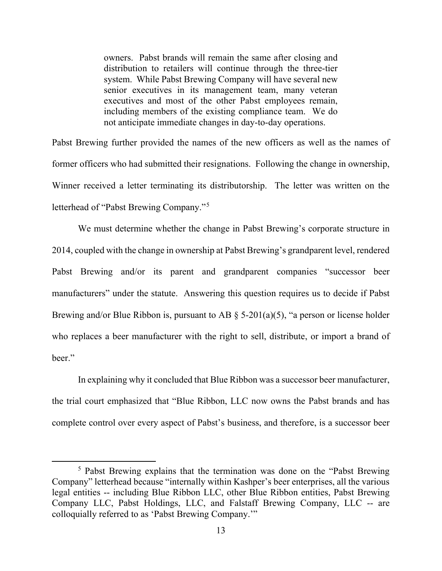owners. Pabst brands will remain the same after closing and distribution to retailers will continue through the three-tier system. While Pabst Brewing Company will have several new senior executives in its management team, many veteran executives and most of the other Pabst employees remain, including members of the existing compliance team. We do not anticipate immediate changes in day-to-day operations.

Pabst Brewing further provided the names of the new officers as well as the names of former officers who had submitted their resignations. Following the change in ownership, Winner received a letter terminating its distributorship. The letter was written on the letterhead of "Pabst Brewing Company."[5](#page-14-0)

We must determine whether the change in Pabst Brewing's corporate structure in 2014, coupled with the change in ownership at Pabst Brewing's grandparent level, rendered Pabst Brewing and/or its parent and grandparent companies "successor beer manufacturers" under the statute. Answering this question requires us to decide if Pabst Brewing and/or Blue Ribbon is, pursuant to AB  $\S$  5-201(a)(5), "a person or license holder who replaces a beer manufacturer with the right to sell, distribute, or import a brand of beer."

In explaining why it concluded that Blue Ribbon was a successor beer manufacturer, the trial court emphasized that "Blue Ribbon, LLC now owns the Pabst brands and has complete control over every aspect of Pabst's business, and therefore, is a successor beer

<span id="page-14-0"></span><sup>&</sup>lt;sup>5</sup> Pabst Brewing explains that the termination was done on the "Pabst Brewing" Company" letterhead because "internally within Kashper's beer enterprises, all the various legal entities -- including Blue Ribbon LLC, other Blue Ribbon entities, Pabst Brewing Company LLC, Pabst Holdings, LLC, and Falstaff Brewing Company, LLC -- are colloquially referred to as 'Pabst Brewing Company.'"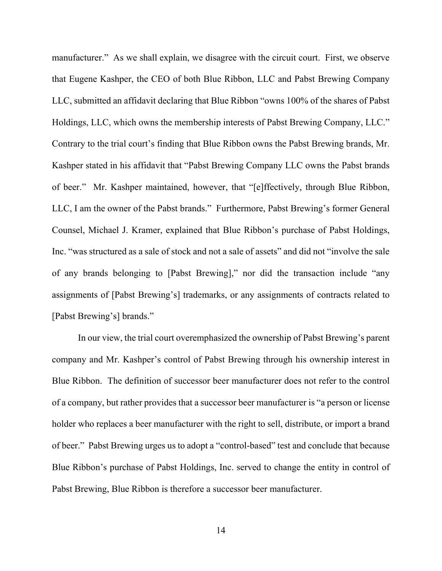manufacturer." As we shall explain, we disagree with the circuit court. First, we observe that Eugene Kashper, the CEO of both Blue Ribbon, LLC and Pabst Brewing Company LLC, submitted an affidavit declaring that Blue Ribbon "owns 100% of the shares of Pabst Holdings, LLC, which owns the membership interests of Pabst Brewing Company, LLC." Contrary to the trial court's finding that Blue Ribbon owns the Pabst Brewing brands, Mr. Kashper stated in his affidavit that "Pabst Brewing Company LLC owns the Pabst brands of beer." Mr. Kashper maintained, however, that "[e]ffectively, through Blue Ribbon, LLC, I am the owner of the Pabst brands." Furthermore, Pabst Brewing's former General Counsel, Michael J. Kramer, explained that Blue Ribbon's purchase of Pabst Holdings, Inc. "was structured as a sale of stock and not a sale of assets" and did not "involve the sale of any brands belonging to [Pabst Brewing]," nor did the transaction include "any assignments of [Pabst Brewing's] trademarks, or any assignments of contracts related to [Pabst Brewing's] brands."

In our view, the trial court overemphasized the ownership of Pabst Brewing's parent company and Mr. Kashper's control of Pabst Brewing through his ownership interest in Blue Ribbon. The definition of successor beer manufacturer does not refer to the control of a company, but rather provides that a successor beer manufacturer is "a person or license holder who replaces a beer manufacturer with the right to sell, distribute, or import a brand of beer." Pabst Brewing urges us to adopt a "control-based" test and conclude that because Blue Ribbon's purchase of Pabst Holdings, Inc. served to change the entity in control of Pabst Brewing, Blue Ribbon is therefore a successor beer manufacturer.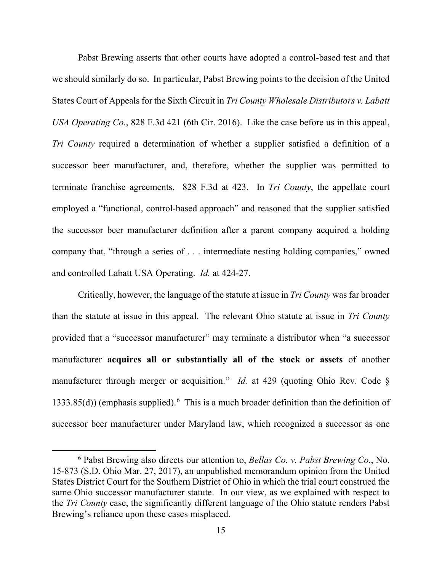Pabst Brewing asserts that other courts have adopted a control-based test and that we should similarly do so. In particular, Pabst Brewing points to the decision of the United States Court of Appeals for the Sixth Circuit in *Tri County Wholesale Distributors v. Labatt USA Operating Co.*, 828 F.3d 421 (6th Cir. 2016). Like the case before us in this appeal, *Tri County* required a determination of whether a supplier satisfied a definition of a successor beer manufacturer, and, therefore, whether the supplier was permitted to terminate franchise agreements. 828 F.3d at 423. In *Tri County*, the appellate court employed a "functional, control-based approach" and reasoned that the supplier satisfied the successor beer manufacturer definition after a parent company acquired a holding company that, "through a series of . . . intermediate nesting holding companies," owned and controlled Labatt USA Operating. *Id.* at 424-27.

Critically, however, the language of the statute at issue in *Tri County* was far broader than the statute at issue in this appeal. The relevant Ohio statute at issue in *Tri County* provided that a "successor manufacturer" may terminate a distributor when "a successor manufacturer **acquires all or substantially all of the stock or assets** of another manufacturer through merger or acquisition." *Id.* at 429 (quoting Ohio Rev. Code § 1333.85(d)) (emphasis supplied).<sup>[6](#page-16-0)</sup> This is a much broader definition than the definition of successor beer manufacturer under Maryland law, which recognized a successor as one

<span id="page-16-0"></span><sup>6</sup> Pabst Brewing also directs our attention to, *Bellas Co. v. Pabst Brewing Co.*, No. 15-873 (S.D. Ohio Mar. 27, 2017), an unpublished memorandum opinion from the United States District Court for the Southern District of Ohio in which the trial court construed the same Ohio successor manufacturer statute. In our view, as we explained with respect to the *Tri County* case, the significantly different language of the Ohio statute renders Pabst Brewing's reliance upon these cases misplaced.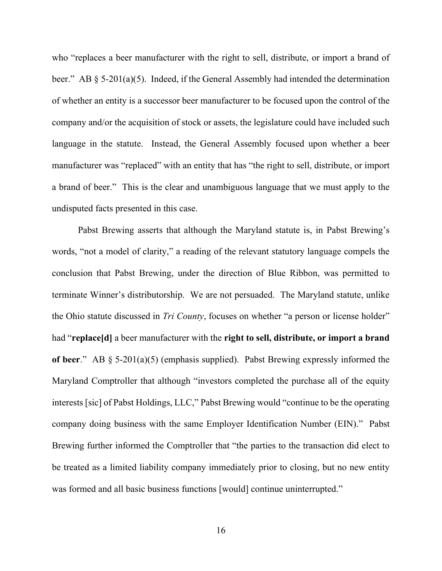who "replaces a beer manufacturer with the right to sell, distribute, or import a brand of beer." AB § 5-201(a)(5). Indeed, if the General Assembly had intended the determination of whether an entity is a successor beer manufacturer to be focused upon the control of the company and/or the acquisition of stock or assets, the legislature could have included such language in the statute. Instead, the General Assembly focused upon whether a beer manufacturer was "replaced" with an entity that has "the right to sell, distribute, or import a brand of beer." This is the clear and unambiguous language that we must apply to the undisputed facts presented in this case.

Pabst Brewing asserts that although the Maryland statute is, in Pabst Brewing's words, "not a model of clarity," a reading of the relevant statutory language compels the conclusion that Pabst Brewing, under the direction of Blue Ribbon, was permitted to terminate Winner's distributorship. We are not persuaded. The Maryland statute, unlike the Ohio statute discussed in *Tri County*, focuses on whether "a person or license holder" had "**replace[d]** a beer manufacturer with the **right to sell, distribute, or import a brand of beer**." AB § 5-201(a)(5) (emphasis supplied). Pabst Brewing expressly informed the Maryland Comptroller that although "investors completed the purchase all of the equity interests [sic] of Pabst Holdings, LLC," Pabst Brewing would "continue to be the operating company doing business with the same Employer Identification Number (EIN)." Pabst Brewing further informed the Comptroller that "the parties to the transaction did elect to be treated as a limited liability company immediately prior to closing, but no new entity was formed and all basic business functions [would] continue uninterrupted."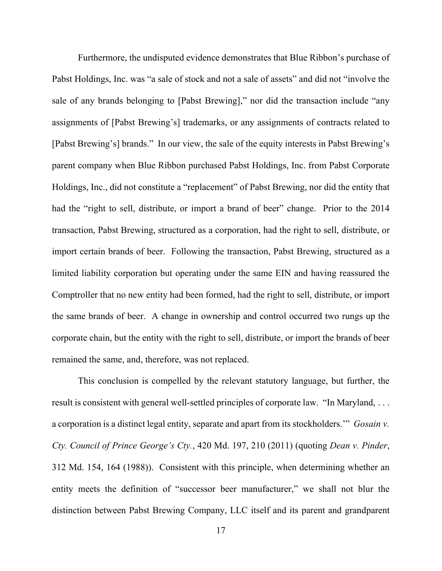Furthermore, the undisputed evidence demonstrates that Blue Ribbon's purchase of Pabst Holdings, Inc. was "a sale of stock and not a sale of assets" and did not "involve the sale of any brands belonging to [Pabst Brewing]," nor did the transaction include "any assignments of [Pabst Brewing's] trademarks, or any assignments of contracts related to [Pabst Brewing's] brands." In our view, the sale of the equity interests in Pabst Brewing's parent company when Blue Ribbon purchased Pabst Holdings, Inc. from Pabst Corporate Holdings, Inc., did not constitute a "replacement" of Pabst Brewing, nor did the entity that had the "right to sell, distribute, or import a brand of beer" change. Prior to the 2014 transaction, Pabst Brewing, structured as a corporation, had the right to sell, distribute, or import certain brands of beer. Following the transaction, Pabst Brewing, structured as a limited liability corporation but operating under the same EIN and having reassured the Comptroller that no new entity had been formed, had the right to sell, distribute, or import the same brands of beer. A change in ownership and control occurred two rungs up the corporate chain, but the entity with the right to sell, distribute, or import the brands of beer remained the same, and, therefore, was not replaced.

This conclusion is compelled by the relevant statutory language, but further, the result is consistent with general well-settled principles of corporate law. "In Maryland, ... a corporation is a distinct legal entity, separate and apart from its stockholders.'" *Gosain v. Cty. Council of Prince George's Cty.*, 420 Md. 197, 210 (2011) (quoting *Dean v. Pinder*, 312 Md. 154, 164 (1988)). Consistent with this principle, when determining whether an entity meets the definition of "successor beer manufacturer," we shall not blur the distinction between Pabst Brewing Company, LLC itself and its parent and grandparent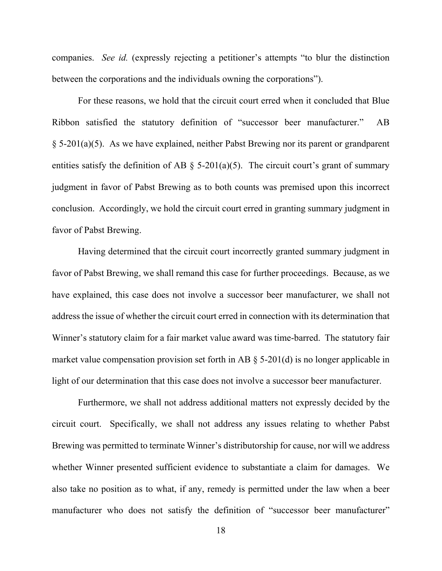companies. *See id.* (expressly rejecting a petitioner's attempts "to blur the distinction between the corporations and the individuals owning the corporations").

For these reasons, we hold that the circuit court erred when it concluded that Blue Ribbon satisfied the statutory definition of "successor beer manufacturer." AB § 5-201(a)(5). As we have explained, neither Pabst Brewing nor its parent or grandparent entities satisfy the definition of AB  $\S$  5-201(a)(5). The circuit court's grant of summary judgment in favor of Pabst Brewing as to both counts was premised upon this incorrect conclusion. Accordingly, we hold the circuit court erred in granting summary judgment in favor of Pabst Brewing.

Having determined that the circuit court incorrectly granted summary judgment in favor of Pabst Brewing, we shall remand this case for further proceedings. Because, as we have explained, this case does not involve a successor beer manufacturer, we shall not address the issue of whether the circuit court erred in connection with its determination that Winner's statutory claim for a fair market value award was time-barred. The statutory fair market value compensation provision set forth in AB  $\S$  5-201(d) is no longer applicable in light of our determination that this case does not involve a successor beer manufacturer.

Furthermore, we shall not address additional matters not expressly decided by the circuit court. Specifically, we shall not address any issues relating to whether Pabst Brewing was permitted to terminate Winner's distributorship for cause, nor will we address whether Winner presented sufficient evidence to substantiate a claim for damages. We also take no position as to what, if any, remedy is permitted under the law when a beer manufacturer who does not satisfy the definition of "successor beer manufacturer"